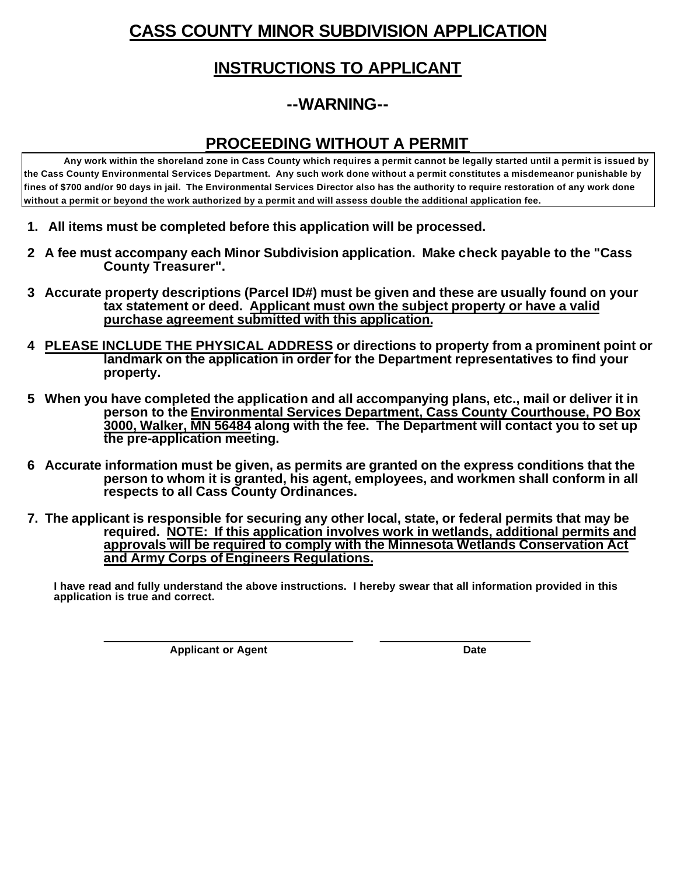# **CASS COUNTY MINOR SUBDIVISION APPLICATION**

#### **INSTRUCTIONS TO APPLICANT**

### **--WARNING--**

#### **PROCEEDING WITHOUT A PERMIT**

**Any work within the shoreland zone in Cass County which requires a permit cannot be legally started until a permit is issued by the Cass County Environmental Services Department. Any such work done without a permit constitutes a misdemeanor punishable by fines of \$700 and/or 90 days in jail. The Environmental Services Director also has the authority to require restoration of any work done without a permit or beyond the work authorized by a permit and will assess double the additional application fee.**

- **1. All items must be completed before this application will be processed.**
- **2 A fee must accompany each Minor Subdivision application. Make check payable to the "Cass County Treasurer".**
- **3 Accurate property descriptions (Parcel ID#) must be given and these are usually found on your tax statement or deed. Applicant must own the subject property or have a valid purchase agreement submitted with this application.**
- **4 PLEASE INCLUDE THE PHYSICAL ADDRESS or directions to property from a prominent point or landmark on the application in order for the Department representatives to find your property.**
- **5 When you have completed the application and all accompanying plans, etc., mail or deliver it in person to the Environmental Services Department, Cass County Courthouse, PO Box 3000, Walker, MN 56484 along with the fee. The Department will contact you to set up the pre-application meeting.**
- **6 Accurate information must be given, as permits are granted on the express conditions that the person to whom it is granted, his agent, employees, and workmen shall conform in all respects to all Cass County Ordinances.**
- **7. The applicant is responsible for securing any other local, state, or federal permits that may be required. NOTE: If this application involves work in wetlands, additional permits and approvals will be required to comply with the Minnesota Wetlands Conservation Act and Army Corps of Engineers Regulations.**

**I have read and fully understand the above instructions. I hereby swear that all information provided in this application is true and correct.** 

**Applicant or Agent Date** 

 **\_\_\_\_\_\_\_\_\_\_\_\_\_\_\_\_\_\_\_\_\_\_\_\_\_\_\_\_\_\_\_\_\_\_\_\_\_\_\_\_\_\_\_ \_\_\_\_\_\_\_\_\_\_\_\_\_\_\_\_\_\_\_\_\_\_\_\_\_\_**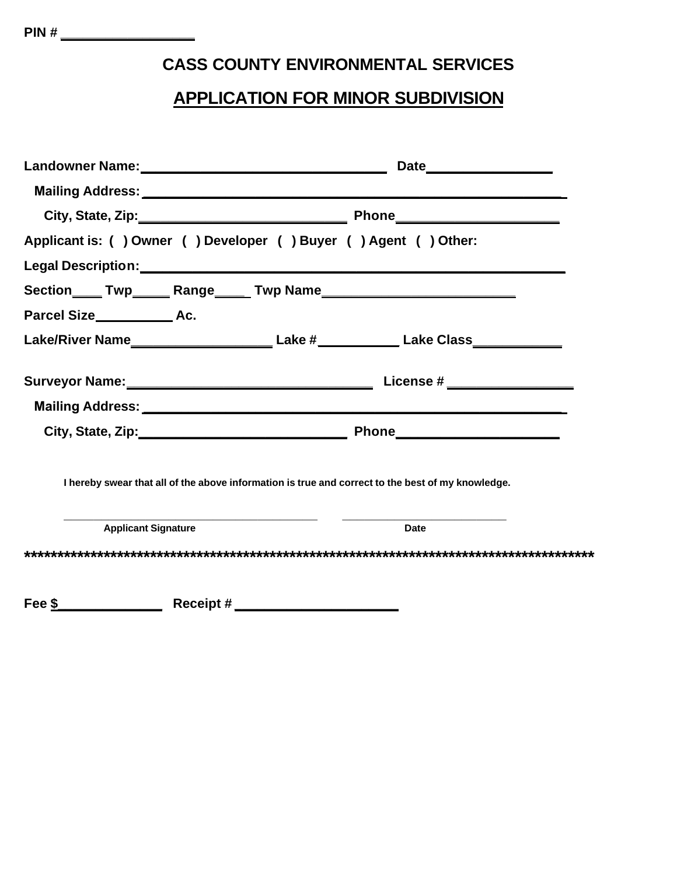## **CASS COUNTY ENVIRONMENTAL SERVICES**

### **APPLICATION FOR MINOR SUBDIVISION**

| Applicant is: () Owner () Developer () Buyer () Agent () Other:                                      |  |             |  |
|------------------------------------------------------------------------------------------------------|--|-------------|--|
|                                                                                                      |  |             |  |
|                                                                                                      |  |             |  |
|                                                                                                      |  |             |  |
| Lake/River Name______________________________Lake #_______________Lake Class________________________ |  |             |  |
|                                                                                                      |  |             |  |
|                                                                                                      |  |             |  |
|                                                                                                      |  |             |  |
| I hereby swear that all of the above information is true and correct to the best of my knowledge.    |  |             |  |
| <b>Applicant Signature</b>                                                                           |  | <b>Date</b> |  |
|                                                                                                      |  |             |  |
|                                                                                                      |  |             |  |